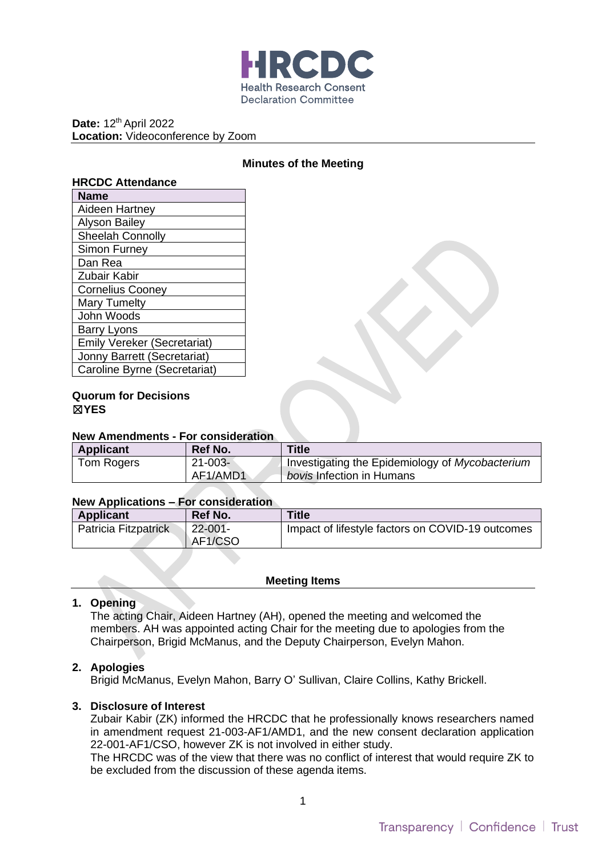

**Date: 12th April 2022 Location:** Videoconference by Zoom

## **Minutes of the Meeting**

| <b>HRCDC Attendance</b>            |
|------------------------------------|
| <b>Name</b>                        |
| Aideen Hartney                     |
| <b>Alyson Bailey</b>               |
| Sheelah Connolly                   |
| <b>Simon Furney</b>                |
| Dan Rea                            |
| Zubair Kabir                       |
| <b>Cornelius Cooney</b>            |
| <b>Mary Tumelty</b>                |
| John Woods                         |
| <b>Barry Lyons</b>                 |
| <b>Emily Vereker (Secretariat)</b> |
| Jonny Barrett (Secretariat)        |
| Caroline Byrne (Secretariat)       |

#### **Quorum for Decisions**  ☒**YES**

#### **New Amendments - For consideration**

| <b>Applicant</b> | Ref No.      | <b>Title</b>                                    |
|------------------|--------------|-------------------------------------------------|
| Tom Rogers       | $21 - 003 -$ | Investigating the Epidemiology of Mycobacterium |
|                  | AF1/AMD1     | <i>bovis</i> Infection in Humans                |

## **New Applications – For consideration**

| <b>Applicant</b>     | <b>Ref No.</b>     | <b>Title</b>                                     |
|----------------------|--------------------|--------------------------------------------------|
| Patricia Fitzpatrick | 22-001-<br>AF1/CSO | Impact of lifestyle factors on COVID-19 outcomes |

#### **Meeting Items**

## **1. Opening**

The acting Chair, Aideen Hartney (AH), opened the meeting and welcomed the members. AH was appointed acting Chair for the meeting due to apologies from the Chairperson, Brigid McManus, and the Deputy Chairperson, Evelyn Mahon.

# **2. Apologies**

Brigid McManus, Evelyn Mahon, Barry O' Sullivan, Claire Collins, Kathy Brickell.

## **3. Disclosure of Interest**

Zubair Kabir (ZK) informed the HRCDC that he professionally knows researchers named in amendment request 21-003-AF1/AMD1, and the new consent declaration application 22-001-AF1/CSO, however ZK is not involved in either study.

The HRCDC was of the view that there was no conflict of interest that would require ZK to be excluded from the discussion of these agenda items.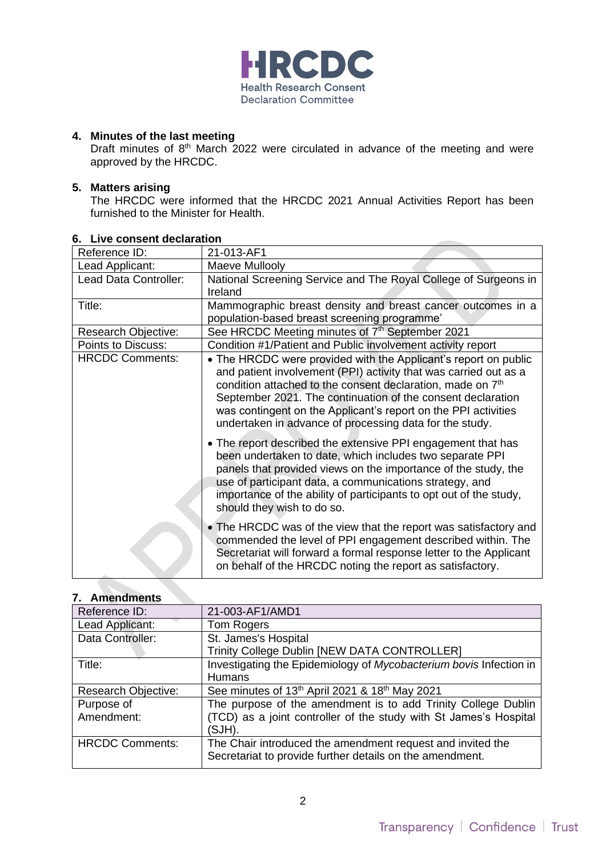

#### **4. Minutes of the last meeting**

Draft minutes of 8<sup>th</sup> March 2022 were circulated in advance of the meeting and were approved by the HRCDC.

#### **5. Matters arising**

The HRCDC were informed that the HRCDC 2021 Annual Activities Report has been furnished to the Minister for Health.

| Reference ID:          | 21-013-AF1                                                                                                                                                                                                                                                                                                                                                                                                |
|------------------------|-----------------------------------------------------------------------------------------------------------------------------------------------------------------------------------------------------------------------------------------------------------------------------------------------------------------------------------------------------------------------------------------------------------|
| Lead Applicant:        | Maeve Mullooly                                                                                                                                                                                                                                                                                                                                                                                            |
| Lead Data Controller:  | National Screening Service and The Royal College of Surgeons in<br>Ireland                                                                                                                                                                                                                                                                                                                                |
| Title:                 | Mammographic breast density and breast cancer outcomes in a<br>population-based breast screening programme'                                                                                                                                                                                                                                                                                               |
| Research Objective:    | See HRCDC Meeting minutes of 7th September 2021                                                                                                                                                                                                                                                                                                                                                           |
| Points to Discuss:     | Condition #1/Patient and Public involvement activity report                                                                                                                                                                                                                                                                                                                                               |
| <b>HRCDC Comments:</b> | • The HRCDC were provided with the Applicant's report on public<br>and patient involvement (PPI) activity that was carried out as a<br>condition attached to the consent declaration, made on 7 <sup>th</sup><br>September 2021. The continuation of the consent declaration<br>was contingent on the Applicant's report on the PPI activities<br>undertaken in advance of processing data for the study. |
|                        | • The report described the extensive PPI engagement that has<br>been undertaken to date, which includes two separate PPI<br>panels that provided views on the importance of the study, the<br>use of participant data, a communications strategy, and<br>importance of the ability of participants to opt out of the study,<br>should they wish to do so.                                                 |
|                        | • The HRCDC was of the view that the report was satisfactory and<br>commended the level of PPI engagement described within. The<br>Secretariat will forward a formal response letter to the Applicant<br>on behalf of the HRCDC noting the report as satisfactory.                                                                                                                                        |

#### **6. Live consent declaration**

# **7. Amendments**

| мныштаны                   |                                                                    |
|----------------------------|--------------------------------------------------------------------|
| Reference ID:              | 21-003-AF1/AMD1                                                    |
| Lead Applicant:            | Tom Rogers                                                         |
| Data Controller:           | St. James's Hospital                                               |
|                            | Trinity College Dublin [NEW DATA CONTROLLER]                       |
| Title:                     | Investigating the Epidemiology of Mycobacterium bovis Infection in |
|                            | <b>Humans</b>                                                      |
| <b>Research Objective:</b> | See minutes of 13th April 2021 & 18th May 2021                     |
| Purpose of                 | The purpose of the amendment is to add Trinity College Dublin      |
| Amendment:                 | (TCD) as a joint controller of the study with St James's Hospital  |
|                            | 'SJH).                                                             |
| <b>HRCDC Comments:</b>     | The Chair introduced the amendment request and invited the         |
|                            | Secretariat to provide further details on the amendment.           |
|                            |                                                                    |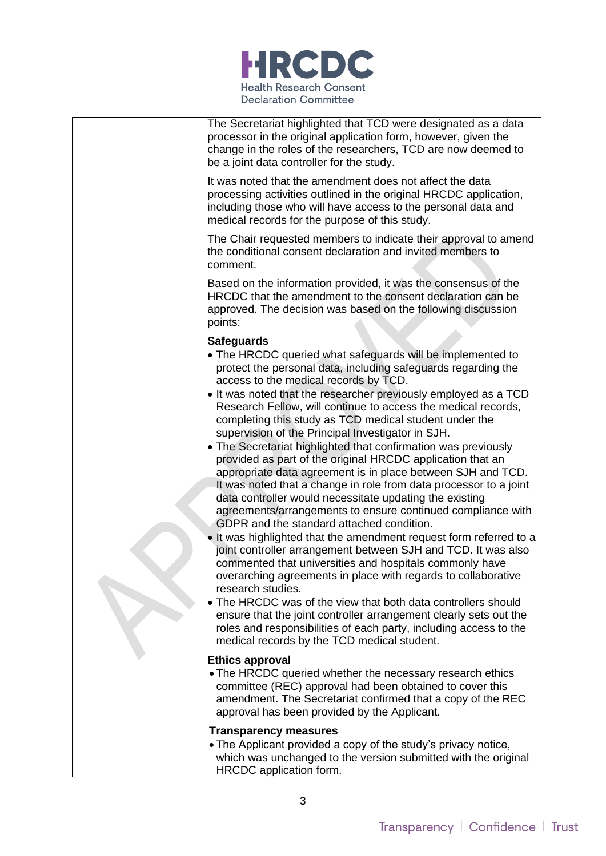

| The Secretariat highlighted that TCD were designated as a data<br>processor in the original application form, however, given the<br>change in the roles of the researchers, TCD are now deemed to<br>be a joint data controller for the study.<br>It was noted that the amendment does not affect the data<br>processing activities outlined in the original HRCDC application,<br>including those who will have access to the personal data and<br>medical records for the purpose of this study.                                                                                                                                                                                                                                                                                                                                                                                                                                                                                                                                                                                                                                                                                                                                                                                                                                                                                                                                        |
|-------------------------------------------------------------------------------------------------------------------------------------------------------------------------------------------------------------------------------------------------------------------------------------------------------------------------------------------------------------------------------------------------------------------------------------------------------------------------------------------------------------------------------------------------------------------------------------------------------------------------------------------------------------------------------------------------------------------------------------------------------------------------------------------------------------------------------------------------------------------------------------------------------------------------------------------------------------------------------------------------------------------------------------------------------------------------------------------------------------------------------------------------------------------------------------------------------------------------------------------------------------------------------------------------------------------------------------------------------------------------------------------------------------------------------------------|
| The Chair requested members to indicate their approval to amend<br>the conditional consent declaration and invited members to<br>comment.                                                                                                                                                                                                                                                                                                                                                                                                                                                                                                                                                                                                                                                                                                                                                                                                                                                                                                                                                                                                                                                                                                                                                                                                                                                                                                 |
| Based on the information provided, it was the consensus of the<br>HRCDC that the amendment to the consent declaration can be<br>approved. The decision was based on the following discussion<br>points:                                                                                                                                                                                                                                                                                                                                                                                                                                                                                                                                                                                                                                                                                                                                                                                                                                                                                                                                                                                                                                                                                                                                                                                                                                   |
| <b>Safeguards</b><br>• The HRCDC queried what safeguards will be implemented to<br>protect the personal data, including safeguards regarding the<br>access to the medical records by TCD.<br>• It was noted that the researcher previously employed as a TCD<br>Research Fellow, will continue to access the medical records,<br>completing this study as TCD medical student under the<br>supervision of the Principal Investigator in SJH.<br>• The Secretariat highlighted that confirmation was previously<br>provided as part of the original HRCDC application that an<br>appropriate data agreement is in place between SJH and TCD.<br>It was noted that a change in role from data processor to a joint<br>data controller would necessitate updating the existing<br>agreements/arrangements to ensure continued compliance with<br>GDPR and the standard attached condition.<br>• It was highlighted that the amendment request form referred to a<br>joint controller arrangement between SJH and TCD. It was also<br>commented that universities and hospitals commonly have<br>overarching agreements in place with regards to collaborative<br>research studies.<br>• The HRCDC was of the view that both data controllers should<br>ensure that the joint controller arrangement clearly sets out the<br>roles and responsibilities of each party, including access to the<br>medical records by the TCD medical student. |
| <b>Ethics approval</b><br>• The HRCDC queried whether the necessary research ethics<br>committee (REC) approval had been obtained to cover this<br>amendment. The Secretariat confirmed that a copy of the REC<br>approval has been provided by the Applicant.                                                                                                                                                                                                                                                                                                                                                                                                                                                                                                                                                                                                                                                                                                                                                                                                                                                                                                                                                                                                                                                                                                                                                                            |
| <b>Transparency measures</b><br>• The Applicant provided a copy of the study's privacy notice,<br>which was unchanged to the version submitted with the original<br>HRCDC application form.                                                                                                                                                                                                                                                                                                                                                                                                                                                                                                                                                                                                                                                                                                                                                                                                                                                                                                                                                                                                                                                                                                                                                                                                                                               |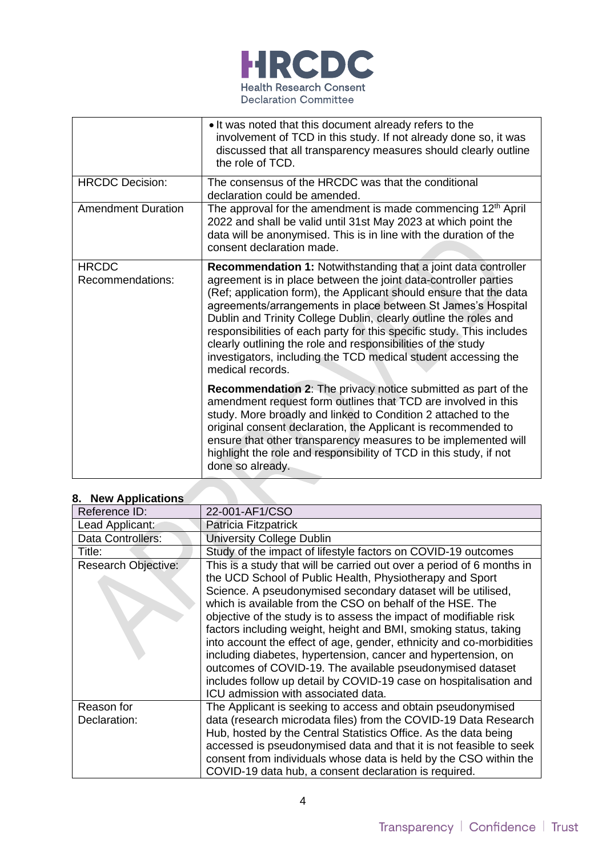

|                                  | . It was noted that this document already refers to the<br>involvement of TCD in this study. If not already done so, it was<br>discussed that all transparency measures should clearly outline<br>the role of TCD.                                                                                                                                                                                                                                                                                                                                                                |
|----------------------------------|-----------------------------------------------------------------------------------------------------------------------------------------------------------------------------------------------------------------------------------------------------------------------------------------------------------------------------------------------------------------------------------------------------------------------------------------------------------------------------------------------------------------------------------------------------------------------------------|
| <b>HRCDC Decision:</b>           | The consensus of the HRCDC was that the conditional<br>declaration could be amended.                                                                                                                                                                                                                                                                                                                                                                                                                                                                                              |
| <b>Amendment Duration</b>        | The approval for the amendment is made commencing 12 <sup>th</sup> April<br>2022 and shall be valid until 31st May 2023 at which point the<br>data will be anonymised. This is in line with the duration of the<br>consent declaration made.                                                                                                                                                                                                                                                                                                                                      |
| <b>HRCDC</b><br>Recommendations: | <b>Recommendation 1: Notwithstanding that a joint data controller</b><br>agreement is in place between the joint data-controller parties<br>(Ref; application form), the Applicant should ensure that the data<br>agreements/arrangements in place between St James's Hospital<br>Dublin and Trinity College Dublin, clearly outline the roles and<br>responsibilities of each party for this specific study. This includes<br>clearly outlining the role and responsibilities of the study<br>investigators, including the TCD medical student accessing the<br>medical records. |
|                                  | <b>Recommendation 2:</b> The privacy notice submitted as part of the<br>amendment request form outlines that TCD are involved in this<br>study. More broadly and linked to Condition 2 attached to the<br>original consent declaration, the Applicant is recommended to<br>ensure that other transparency measures to be implemented will<br>highlight the role and responsibility of TCD in this study, if not<br>done so already.                                                                                                                                               |

# **8. New Applications**

| Reference ID:              | 22-001-AF1/CSO                                                                                                                                                                                                                                                                                                                                                                                                                                                                                                                                                                                                                                                                                                            |
|----------------------------|---------------------------------------------------------------------------------------------------------------------------------------------------------------------------------------------------------------------------------------------------------------------------------------------------------------------------------------------------------------------------------------------------------------------------------------------------------------------------------------------------------------------------------------------------------------------------------------------------------------------------------------------------------------------------------------------------------------------------|
| Lead Applicant:            | Patricia Fitzpatrick                                                                                                                                                                                                                                                                                                                                                                                                                                                                                                                                                                                                                                                                                                      |
| Data Controllers:          | <b>University College Dublin</b>                                                                                                                                                                                                                                                                                                                                                                                                                                                                                                                                                                                                                                                                                          |
| Title:                     | Study of the impact of lifestyle factors on COVID-19 outcomes                                                                                                                                                                                                                                                                                                                                                                                                                                                                                                                                                                                                                                                             |
| Research Objective:        | This is a study that will be carried out over a period of 6 months in<br>the UCD School of Public Health, Physiotherapy and Sport<br>Science. A pseudonymised secondary dataset will be utilised,<br>which is available from the CSO on behalf of the HSE. The<br>objective of the study is to assess the impact of modifiable risk<br>factors including weight, height and BMI, smoking status, taking<br>into account the effect of age, gender, ethnicity and co-morbidities<br>including diabetes, hypertension, cancer and hypertension, on<br>outcomes of COVID-19. The available pseudonymised dataset<br>includes follow up detail by COVID-19 case on hospitalisation and<br>ICU admission with associated data. |
| Reason for<br>Declaration: | The Applicant is seeking to access and obtain pseudonymised<br>data (research microdata files) from the COVID-19 Data Research<br>Hub, hosted by the Central Statistics Office. As the data being<br>accessed is pseudonymised data and that it is not feasible to seek<br>consent from individuals whose data is held by the CSO within the<br>COVID-19 data hub, a consent declaration is required.                                                                                                                                                                                                                                                                                                                     |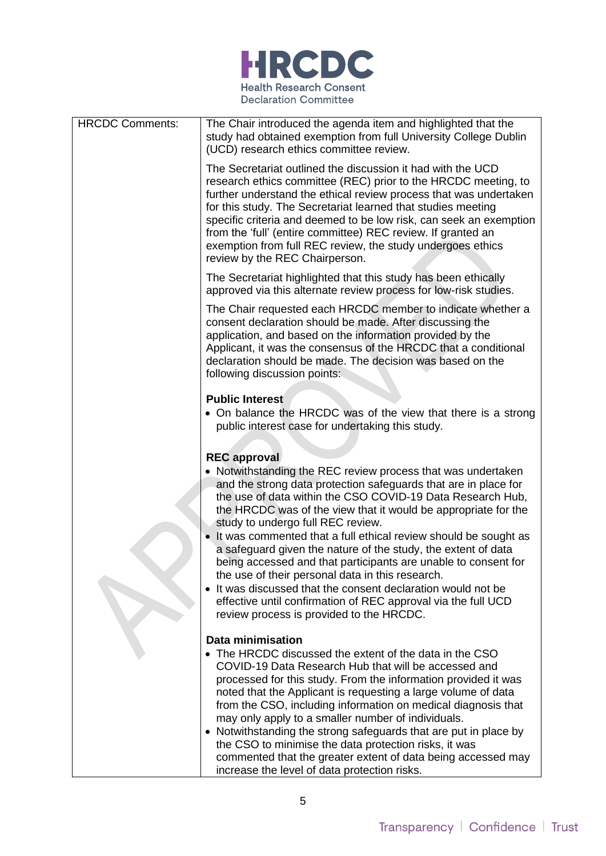

| <b>HRCDC Comments:</b> | The Chair introduced the agenda item and highlighted that the<br>study had obtained exemption from full University College Dublin<br>(UCD) research ethics committee review.                                                                                                                                                                                                                                                                                                                                                                                                                                                                                                                                                                                     |
|------------------------|------------------------------------------------------------------------------------------------------------------------------------------------------------------------------------------------------------------------------------------------------------------------------------------------------------------------------------------------------------------------------------------------------------------------------------------------------------------------------------------------------------------------------------------------------------------------------------------------------------------------------------------------------------------------------------------------------------------------------------------------------------------|
|                        | The Secretariat outlined the discussion it had with the UCD<br>research ethics committee (REC) prior to the HRCDC meeting, to<br>further understand the ethical review process that was undertaken<br>for this study. The Secretariat learned that studies meeting<br>specific criteria and deemed to be low risk, can seek an exemption<br>from the 'full' (entire committee) REC review. If granted an<br>exemption from full REC review, the study undergoes ethics<br>review by the REC Chairperson.                                                                                                                                                                                                                                                         |
|                        | The Secretariat highlighted that this study has been ethically<br>approved via this alternate review process for low-risk studies.                                                                                                                                                                                                                                                                                                                                                                                                                                                                                                                                                                                                                               |
|                        | The Chair requested each HRCDC member to indicate whether a<br>consent declaration should be made. After discussing the<br>application, and based on the information provided by the<br>Applicant, it was the consensus of the HRCDC that a conditional<br>declaration should be made. The decision was based on the<br>following discussion points:                                                                                                                                                                                                                                                                                                                                                                                                             |
|                        | <b>Public Interest</b><br>• On balance the HRCDC was of the view that there is a strong<br>public interest case for undertaking this study.                                                                                                                                                                                                                                                                                                                                                                                                                                                                                                                                                                                                                      |
|                        | <b>REC approval</b><br>• Notwithstanding the REC review process that was undertaken<br>and the strong data protection safeguards that are in place for<br>the use of data within the CSO COVID-19 Data Research Hub,<br>the HRCDC was of the view that it would be appropriate for the<br>study to undergo full REC review.<br>It was commented that a full ethical review should be sought as<br>a safeguard given the nature of the study, the extent of data<br>being accessed and that participants are unable to consent for<br>the use of their personal data in this research.<br>It was discussed that the consent declaration would not be<br>effective until confirmation of REC approval via the full UCD<br>review process is provided to the HRCDC. |
|                        | Data minimisation<br>• The HRCDC discussed the extent of the data in the CSO<br>COVID-19 Data Research Hub that will be accessed and<br>processed for this study. From the information provided it was<br>noted that the Applicant is requesting a large volume of data<br>from the CSO, including information on medical diagnosis that<br>may only apply to a smaller number of individuals.<br>• Notwithstanding the strong safeguards that are put in place by<br>the CSO to minimise the data protection risks, it was<br>commented that the greater extent of data being accessed may<br>increase the level of data protection risks.                                                                                                                      |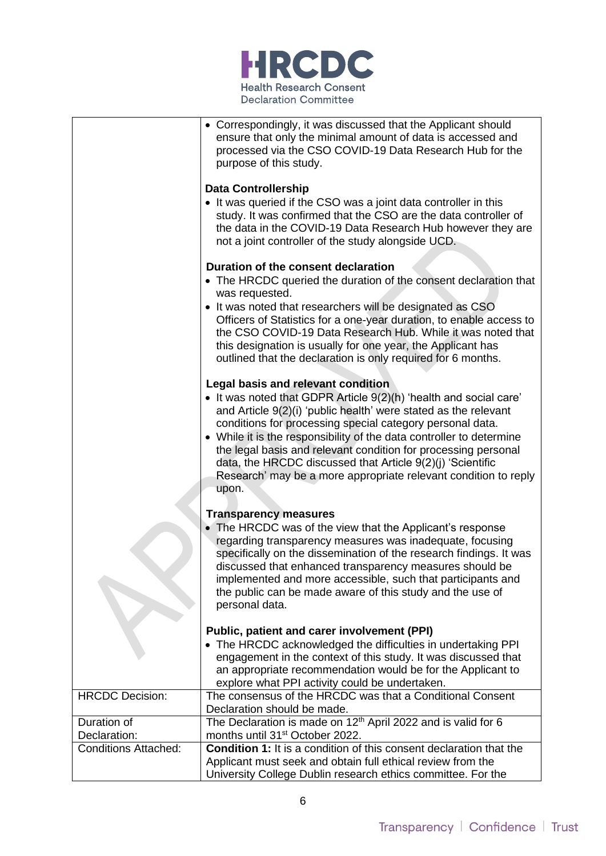

|                             | • Correspondingly, it was discussed that the Applicant should<br>ensure that only the minimal amount of data is accessed and<br>processed via the CSO COVID-19 Data Research Hub for the<br>purpose of this study.                                                                                                                                                                                   |
|-----------------------------|------------------------------------------------------------------------------------------------------------------------------------------------------------------------------------------------------------------------------------------------------------------------------------------------------------------------------------------------------------------------------------------------------|
|                             |                                                                                                                                                                                                                                                                                                                                                                                                      |
|                             | <b>Data Controllership</b><br>• It was queried if the CSO was a joint data controller in this<br>study. It was confirmed that the CSO are the data controller of<br>the data in the COVID-19 Data Research Hub however they are<br>not a joint controller of the study alongside UCD.                                                                                                                |
|                             |                                                                                                                                                                                                                                                                                                                                                                                                      |
|                             | Duration of the consent declaration<br>• The HRCDC queried the duration of the consent declaration that<br>was requested.                                                                                                                                                                                                                                                                            |
|                             | • It was noted that researchers will be designated as CSO<br>Officers of Statistics for a one-year duration, to enable access to<br>the CSO COVID-19 Data Research Hub. While it was noted that<br>this designation is usually for one year, the Applicant has<br>outlined that the declaration is only required for 6 months.                                                                       |
|                             | Legal basis and relevant condition                                                                                                                                                                                                                                                                                                                                                                   |
|                             | • It was noted that GDPR Article $9(2)(h)$ 'health and social care'<br>and Article $9(2)(i)$ 'public health' were stated as the relevant<br>conditions for processing special category personal data.<br>• While it is the responsibility of the data controller to determine                                                                                                                        |
|                             | the legal basis and relevant condition for processing personal<br>data, the HRCDC discussed that Article 9(2)(j) 'Scientific<br>Research' may be a more appropriate relevant condition to reply                                                                                                                                                                                                      |
|                             | upon.                                                                                                                                                                                                                                                                                                                                                                                                |
|                             | <b>Transparency measures</b>                                                                                                                                                                                                                                                                                                                                                                         |
|                             | • The HRCDC was of the view that the Applicant's response<br>regarding transparency measures was inadequate, focusing<br>specifically on the dissemination of the research findings. It was<br>discussed that enhanced transparency measures should be<br>implemented and more accessible, such that participants and<br>the public can be made aware of this study and the use of<br>personal data. |
|                             | Public, patient and carer involvement (PPI)                                                                                                                                                                                                                                                                                                                                                          |
|                             | • The HRCDC acknowledged the difficulties in undertaking PPI<br>engagement in the context of this study. It was discussed that<br>an appropriate recommendation would be for the Applicant to<br>explore what PPI activity could be undertaken.                                                                                                                                                      |
| <b>HRCDC Decision:</b>      | The consensus of the HRCDC was that a Conditional Consent                                                                                                                                                                                                                                                                                                                                            |
| Duration of                 | Declaration should be made.<br>The Declaration is made on 12 <sup>th</sup> April 2022 and is valid for 6                                                                                                                                                                                                                                                                                             |
| Declaration:                | months until 31 <sup>st</sup> October 2022.                                                                                                                                                                                                                                                                                                                                                          |
| <b>Conditions Attached:</b> | <b>Condition 1:</b> It is a condition of this consent declaration that the                                                                                                                                                                                                                                                                                                                           |
|                             | Applicant must seek and obtain full ethical review from the<br>University College Dublin research ethics committee. For the                                                                                                                                                                                                                                                                          |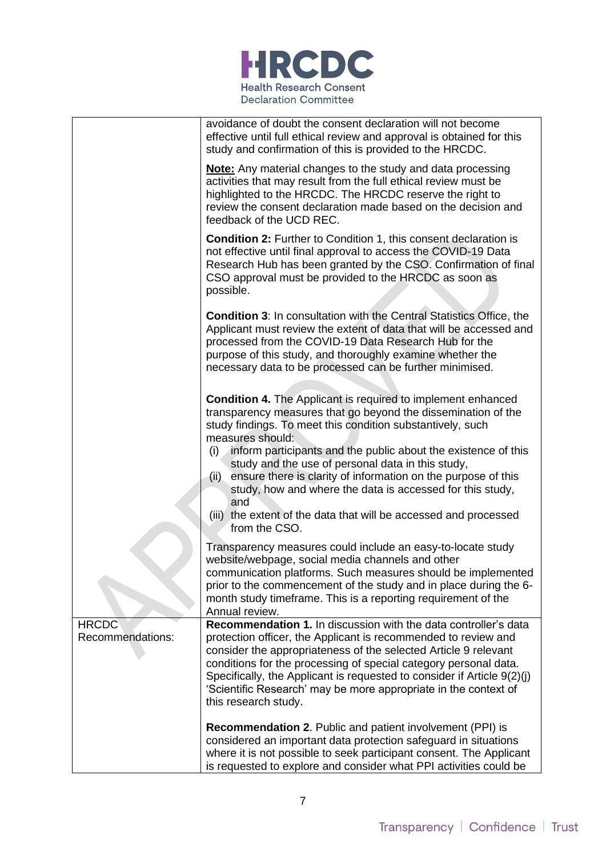

|                  | avoidance of doubt the consent declaration will not become<br>effective until full ethical review and approval is obtained for this<br>study and confirmation of this is provided to the HRCDC.                                                                                                                                                                                                                                                                                                                                                                                     |
|------------------|-------------------------------------------------------------------------------------------------------------------------------------------------------------------------------------------------------------------------------------------------------------------------------------------------------------------------------------------------------------------------------------------------------------------------------------------------------------------------------------------------------------------------------------------------------------------------------------|
|                  | <b>Note:</b> Any material changes to the study and data processing<br>activities that may result from the full ethical review must be<br>highlighted to the HRCDC. The HRCDC reserve the right to<br>review the consent declaration made based on the decision and<br>feedback of the UCD REC.                                                                                                                                                                                                                                                                                      |
|                  | Condition 2: Further to Condition 1, this consent declaration is<br>not effective until final approval to access the COVID-19 Data<br>Research Hub has been granted by the CSO. Confirmation of final<br>CSO approval must be provided to the HRCDC as soon as<br>possible.                                                                                                                                                                                                                                                                                                         |
|                  | <b>Condition 3:</b> In consultation with the Central Statistics Office, the<br>Applicant must review the extent of data that will be accessed and<br>processed from the COVID-19 Data Research Hub for the<br>purpose of this study, and thoroughly examine whether the<br>necessary data to be processed can be further minimised.                                                                                                                                                                                                                                                 |
|                  | <b>Condition 4.</b> The Applicant is required to implement enhanced<br>transparency measures that go beyond the dissemination of the<br>study findings. To meet this condition substantively, such<br>measures should:<br>inform participants and the public about the existence of this<br>(i)<br>study and the use of personal data in this study,<br>(ii) ensure there is clarity of information on the purpose of this<br>study, how and where the data is accessed for this study,<br>and<br>(iii) the extent of the data that will be accessed and processed<br>from the CSO. |
|                  | Transparency measures could include an easy-to-locate study<br>website/webpage, social media channels and other<br>communication platforms. Such measures should be implemented<br>prior to the commencement of the study and in place during the 6-<br>month study timeframe. This is a reporting requirement of the<br>Annual review.                                                                                                                                                                                                                                             |
| <b>HRCDC</b>     | Recommendation 1. In discussion with the data controller's data                                                                                                                                                                                                                                                                                                                                                                                                                                                                                                                     |
| Recommendations: | protection officer, the Applicant is recommended to review and                                                                                                                                                                                                                                                                                                                                                                                                                                                                                                                      |
|                  | consider the appropriateness of the selected Article 9 relevant                                                                                                                                                                                                                                                                                                                                                                                                                                                                                                                     |
|                  | conditions for the processing of special category personal data.<br>Specifically, the Applicant is requested to consider if Article 9(2)(j)                                                                                                                                                                                                                                                                                                                                                                                                                                         |
|                  | 'Scientific Research' may be more appropriate in the context of                                                                                                                                                                                                                                                                                                                                                                                                                                                                                                                     |
|                  | this research study.                                                                                                                                                                                                                                                                                                                                                                                                                                                                                                                                                                |
|                  |                                                                                                                                                                                                                                                                                                                                                                                                                                                                                                                                                                                     |
|                  | Recommendation 2. Public and patient involvement (PPI) is<br>considered an important data protection safeguard in situations                                                                                                                                                                                                                                                                                                                                                                                                                                                        |
|                  | where it is not possible to seek participant consent. The Applicant                                                                                                                                                                                                                                                                                                                                                                                                                                                                                                                 |
|                  | is requested to explore and consider what PPI activities could be                                                                                                                                                                                                                                                                                                                                                                                                                                                                                                                   |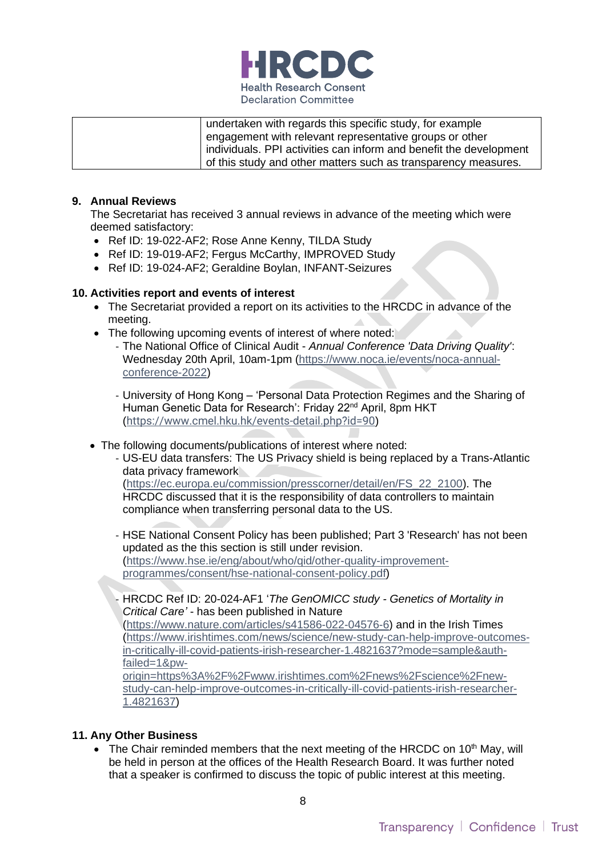

| undertaken with regards this specific study, for example           |
|--------------------------------------------------------------------|
| engagement with relevant representative groups or other            |
| individuals. PPI activities can inform and benefit the development |
| of this study and other matters such as transparency measures.     |

## **9. Annual Reviews**

The Secretariat has received 3 annual reviews in advance of the meeting which were deemed satisfactory:

- Ref ID: 19-022-AF2; Rose Anne Kenny, TILDA Study
- Ref ID: 19-019-AF2; Fergus McCarthy, IMPROVED Study
- Ref ID: 19-024-AF2; Geraldine Boylan, INFANT-Seizures

# **10. Activities report and events of interest**

- The Secretariat provided a report on its activities to the HRCDC in advance of the meeting.
- The following upcoming events of interest of where noted:
	- The National Office of Clinical Audit *Annual Conference 'Data Driving Quality'*: Wednesday 20th April, 10am-1pm [\(https://www.noca.ie/events/noca-annual](https://www.noca.ie/events/noca-annual-conference-2022)[conference-2022\)](https://www.noca.ie/events/noca-annual-conference-2022)
		- University of Hong Kong 'Personal Data Protection Regimes and the Sharing of Human Genetic Data for Research': Friday 22<sup>nd</sup> April, 8pm HKT (<https://www.cmel.hku.hk/events-detail.php?id=90>)
- The following documents/publications of interest where noted:
	- US-EU data transfers: The US Privacy shield is being replaced by a Trans-Atlantic data privacy framework [\(https://ec.europa.eu/commission/presscorner/detail/en/FS\\_22\\_2100\)](https://ec.europa.eu/commission/presscorner/detail/en/FS_22_2100). The HRCDC discussed that it is the responsibility of data controllers to maintain

compliance when transferring personal data to the US.

- HSE National Consent Policy has been published; Part 3 'Research' has not been updated as the this section is still under revision. [\(https://www.hse.ie/eng/about/who/qid/other-quality-improvement](https://www.hse.ie/eng/about/who/qid/other-quality-improvement-programmes/consent/hse-national-consent-policy.pdf)[programmes/consent/hse-national-consent-policy.pdf\)](https://www.hse.ie/eng/about/who/qid/other-quality-improvement-programmes/consent/hse-national-consent-policy.pdf)
- HRCDC Ref ID: 20-024-AF1 '*The GenOMICC study - Genetics of Mortality in Critical Care'* - has been published in Nature [\(https://www.nature.com/articles/s41586-022-04576-6\)](https://www.nature.com/articles/s41586-022-04576-6) and in the Irish Times [\(https://www.irishtimes.com/news/science/new-study-can-help-improve-outcomes](https://www.irishtimes.com/news/science/new-study-can-help-improve-outcomes-in-critically-ill-covid-patients-irish-researcher-1.4821637?mode=sample&auth-failed=1&pw-origin=https%3A%2F%2Fwww.irishtimes.com%2Fnews%2Fscience%2Fnew-study-can-help-improve-outcomes-in-critically-ill-covid-patients-irish-researcher-1.4821637)[in-critically-ill-covid-patients-irish-researcher-1.4821637?mode=sample&auth](https://www.irishtimes.com/news/science/new-study-can-help-improve-outcomes-in-critically-ill-covid-patients-irish-researcher-1.4821637?mode=sample&auth-failed=1&pw-origin=https%3A%2F%2Fwww.irishtimes.com%2Fnews%2Fscience%2Fnew-study-can-help-improve-outcomes-in-critically-ill-covid-patients-irish-researcher-1.4821637)[failed=1&pw](https://www.irishtimes.com/news/science/new-study-can-help-improve-outcomes-in-critically-ill-covid-patients-irish-researcher-1.4821637?mode=sample&auth-failed=1&pw-origin=https%3A%2F%2Fwww.irishtimes.com%2Fnews%2Fscience%2Fnew-study-can-help-improve-outcomes-in-critically-ill-covid-patients-irish-researcher-1.4821637)[origin=https%3A%2F%2Fwww.irishtimes.com%2Fnews%2Fscience%2Fnew](https://www.irishtimes.com/news/science/new-study-can-help-improve-outcomes-in-critically-ill-covid-patients-irish-researcher-1.4821637?mode=sample&auth-failed=1&pw-origin=https%3A%2F%2Fwww.irishtimes.com%2Fnews%2Fscience%2Fnew-study-can-help-improve-outcomes-in-critically-ill-covid-patients-irish-researcher-1.4821637)[study-can-help-improve-outcomes-in-critically-ill-covid-patients-irish-researcher-](https://www.irishtimes.com/news/science/new-study-can-help-improve-outcomes-in-critically-ill-covid-patients-irish-researcher-1.4821637?mode=sample&auth-failed=1&pw-origin=https%3A%2F%2Fwww.irishtimes.com%2Fnews%2Fscience%2Fnew-study-can-help-improve-outcomes-in-critically-ill-covid-patients-irish-researcher-1.4821637)

**11. Any Other Business** 

[1.4821637\)](https://www.irishtimes.com/news/science/new-study-can-help-improve-outcomes-in-critically-ill-covid-patients-irish-researcher-1.4821637?mode=sample&auth-failed=1&pw-origin=https%3A%2F%2Fwww.irishtimes.com%2Fnews%2Fscience%2Fnew-study-can-help-improve-outcomes-in-critically-ill-covid-patients-irish-researcher-1.4821637)

• The Chair reminded members that the next meeting of the HRCDC on  $10<sup>th</sup>$  May, will be held in person at the offices of the Health Research Board. It was further noted that a speaker is confirmed to discuss the topic of public interest at this meeting.